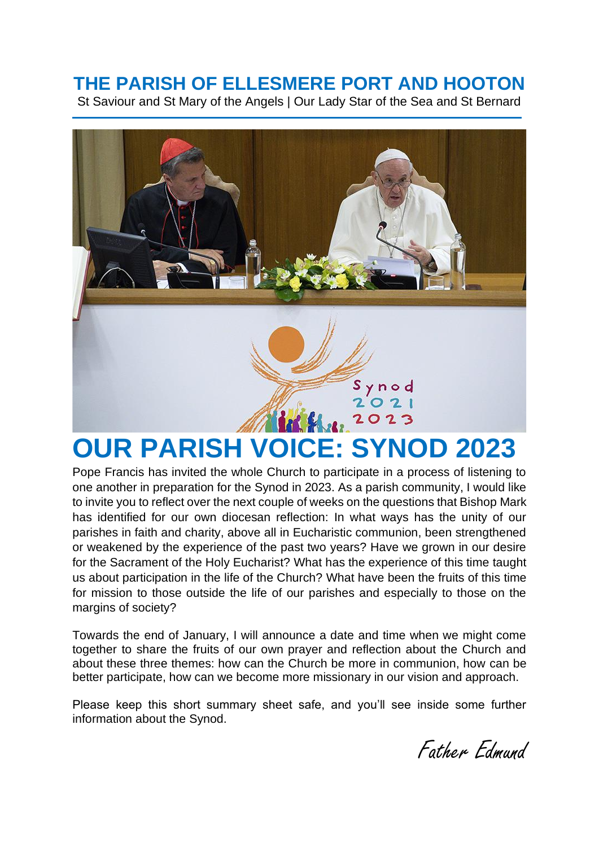# **THE PARISH OF ELLESMERE PORT AND HOOTON**

St Saviour and St Mary of the Angels | Our Lady Star of the Sea and St Bernard



Pope Francis has invited the whole Church to participate in a process of listening to one another in preparation for the Synod in 2023. As a parish community, I would like to invite you to reflect over the next couple of weeks on the questions that Bishop Mark has identified for our own diocesan reflection: In what ways has the unity of our parishes in faith and charity, above all in Eucharistic communion, been strengthened or weakened by the experience of the past two years? Have we grown in our desire for the Sacrament of the Holy Eucharist? What has the experience of this time taught us about participation in the life of the Church? What have been the fruits of this time for mission to those outside the life of our parishes and especially to those on the margins of society?

Towards the end of January, I will announce a date and time when we might come together to share the fruits of our own prayer and reflection about the Church and about these three themes: how can the Church be more in communion, how can be better participate, how can we become more missionary in our vision and approach.

Please keep this short summary sheet safe, and you'll see inside some further information about the Synod.

Father Edmund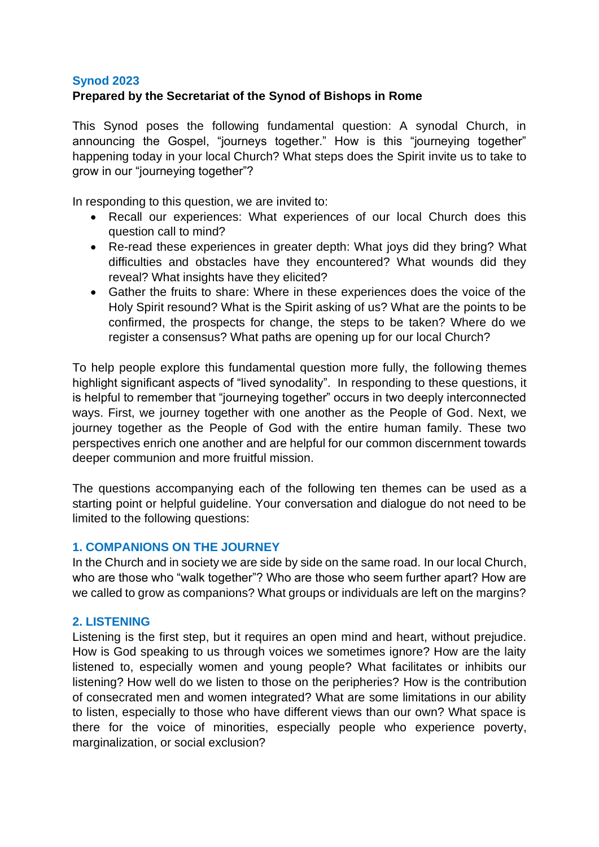## **Synod 2023**

# **Prepared by the Secretariat of the Synod of Bishops in Rome**

This Synod poses the following fundamental question: A synodal Church, in announcing the Gospel, "journeys together." How is this "journeying together" happening today in your local Church? What steps does the Spirit invite us to take to grow in our "journeying together"?

In responding to this question, we are invited to:

- Recall our experiences: What experiences of our local Church does this question call to mind?
- Re-read these experiences in greater depth: What joys did they bring? What difficulties and obstacles have they encountered? What wounds did they reveal? What insights have they elicited?
- Gather the fruits to share: Where in these experiences does the voice of the Holy Spirit resound? What is the Spirit asking of us? What are the points to be confirmed, the prospects for change, the steps to be taken? Where do we register a consensus? What paths are opening up for our local Church?

To help people explore this fundamental question more fully, the following themes highlight significant aspects of "lived synodality". In responding to these questions, it is helpful to remember that "journeying together" occurs in two deeply interconnected ways. First, we journey together with one another as the People of God. Next, we journey together as the People of God with the entire human family. These two perspectives enrich one another and are helpful for our common discernment towards deeper communion and more fruitful mission.

The questions accompanying each of the following ten themes can be used as a starting point or helpful guideline. Your conversation and dialogue do not need to be limited to the following questions:

# **1. COMPANIONS ON THE JOURNEY**

In the Church and in society we are side by side on the same road. In our local Church, who are those who "walk together"? Who are those who seem further apart? How are we called to grow as companions? What groups or individuals are left on the margins?

### **2. LISTENING**

Listening is the first step, but it requires an open mind and heart, without prejudice. How is God speaking to us through voices we sometimes ignore? How are the laity listened to, especially women and young people? What facilitates or inhibits our listening? How well do we listen to those on the peripheries? How is the contribution of consecrated men and women integrated? What are some limitations in our ability to listen, especially to those who have different views than our own? What space is there for the voice of minorities, especially people who experience poverty, marginalization, or social exclusion?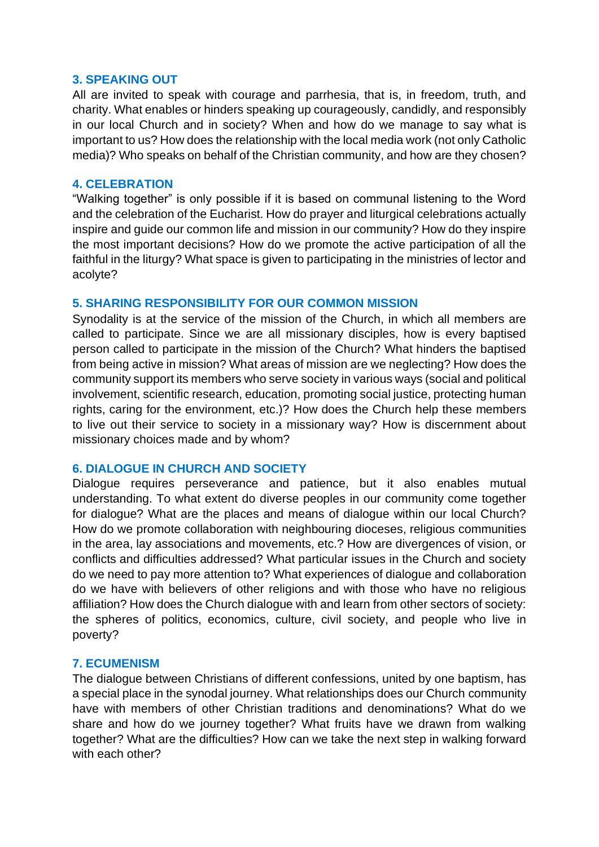#### **3. SPEAKING OUT**

All are invited to speak with courage and parrhesia, that is, in freedom, truth, and charity. What enables or hinders speaking up courageously, candidly, and responsibly in our local Church and in society? When and how do we manage to say what is important to us? How does the relationship with the local media work (not only Catholic media)? Who speaks on behalf of the Christian community, and how are they chosen?

#### **4. CELEBRATION**

"Walking together" is only possible if it is based on communal listening to the Word and the celebration of the Eucharist. How do prayer and liturgical celebrations actually inspire and guide our common life and mission in our community? How do they inspire the most important decisions? How do we promote the active participation of all the faithful in the liturgy? What space is given to participating in the ministries of lector and acolyte?

### **5. SHARING RESPONSIBILITY FOR OUR COMMON MISSION**

Synodality is at the service of the mission of the Church, in which all members are called to participate. Since we are all missionary disciples, how is every baptised person called to participate in the mission of the Church? What hinders the baptised from being active in mission? What areas of mission are we neglecting? How does the community support its members who serve society in various ways (social and political involvement, scientific research, education, promoting social justice, protecting human rights, caring for the environment, etc.)? How does the Church help these members to live out their service to society in a missionary way? How is discernment about missionary choices made and by whom?

### **6. DIALOGUE IN CHURCH AND SOCIETY**

Dialogue requires perseverance and patience, but it also enables mutual understanding. To what extent do diverse peoples in our community come together for dialogue? What are the places and means of dialogue within our local Church? How do we promote collaboration with neighbouring dioceses, religious communities in the area, lay associations and movements, etc.? How are divergences of vision, or conflicts and difficulties addressed? What particular issues in the Church and society do we need to pay more attention to? What experiences of dialogue and collaboration do we have with believers of other religions and with those who have no religious affiliation? How does the Church dialogue with and learn from other sectors of society: the spheres of politics, economics, culture, civil society, and people who live in poverty?

### **7. ECUMENISM**

The dialogue between Christians of different confessions, united by one baptism, has a special place in the synodal journey. What relationships does our Church community have with members of other Christian traditions and denominations? What do we share and how do we journey together? What fruits have we drawn from walking together? What are the difficulties? How can we take the next step in walking forward with each other?